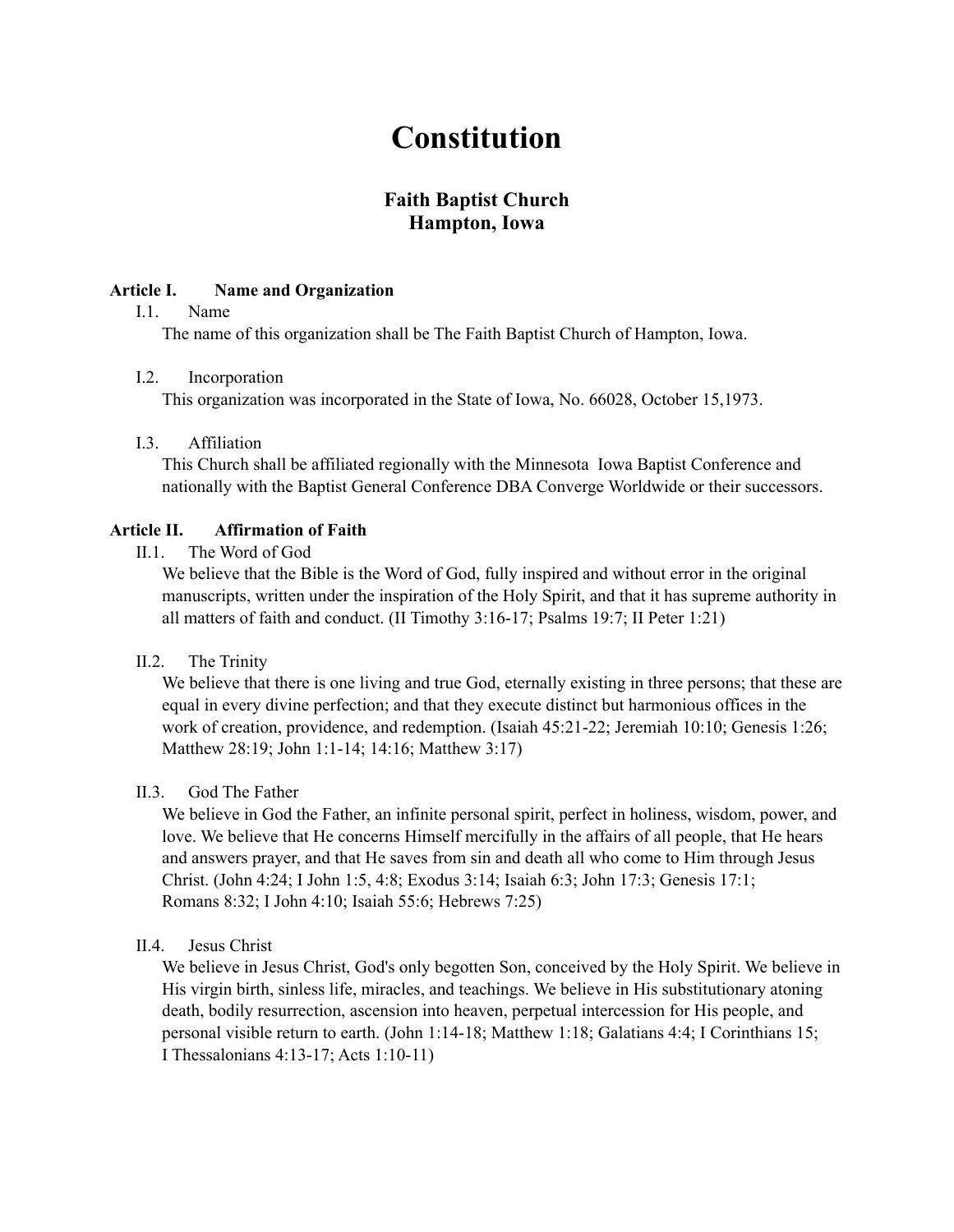# **Constitution**

# **Faith Baptist Church Hampton, Iowa**

#### **Article I. Name and Organization**

#### I.1. Name

The name of this organization shall be The Faith Baptist Church of Hampton, Iowa.

#### I.2. Incorporation

This organization was incorporated in the State of Iowa, No. 66028, October 15,1973.

#### I.3. Affiliation

This Church shall be affiliated regionally with the Minnesota Iowa Baptist Conference and nationally with the Baptist General Conference DBA Converge Worldwide or their successors.

#### **Article II. Affirmation of Faith**

II.1. The Word of God

We believe that the Bible is the Word of God, fully inspired and without error in the original manuscripts, written under the inspiration of the Holy Spirit, and that it has supreme authority in all matters of faith and conduct. (II Timothy 3:16-17; Psalms 19:7; II Peter 1:21)

II.2. The Trinity

We believe that there is one living and true God, eternally existing in three persons; that these are equal in every divine perfection; and that they execute distinct but harmonious offices in the work of creation, providence, and redemption. (Isaiah 45:21-22; Jeremiah 10:10; Genesis 1:26; Matthew 28:19; John 1:1-14; 14:16; Matthew 3:17)

#### II.3 God The Father

We believe in God the Father, an infinite personal spirit, perfect in holiness, wisdom, power, and love. We believe that He concerns Himself mercifully in the affairs of all people, that He hears and answers prayer, and that He saves from sin and death all who come to Him through Jesus Christ. (John 4:24; I John 1:5, 4:8; Exodus 3:14; Isaiah 6:3; John 17:3; Genesis 17:1; Romans 8:32; I John 4:10; Isaiah 55:6; Hebrews 7:25)

#### II.4 Jesus Christ

We believe in Jesus Christ, God's only begotten Son, conceived by the Holy Spirit. We believe in His virgin birth, sinless life, miracles, and teachings. We believe in His substitutionary atoning death, bodily resurrection, ascension into heaven, perpetual intercession for His people, and personal visible return to earth. (John 1:14-18; Matthew 1:18; Galatians 4:4; I Corinthians 15; I Thessalonians 4:13-17; Acts 1:10-11)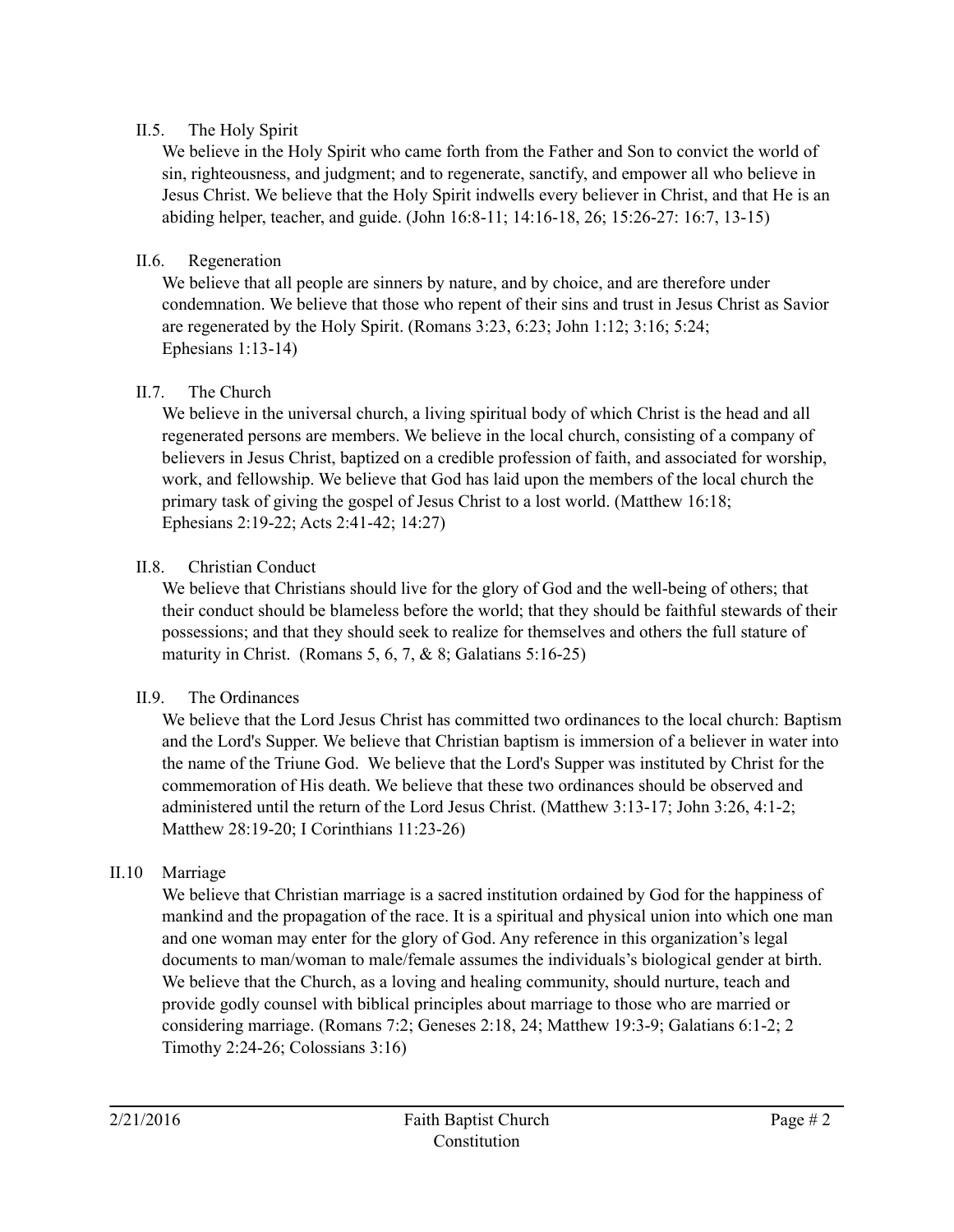## II.5. The Holy Spirit

We believe in the Holy Spirit who came forth from the Father and Son to convict the world of sin, righteousness, and judgment; and to regenerate, sanctify, and empower all who believe in Jesus Christ. We believe that the Holy Spirit indwells every believer in Christ, and that He is an abiding helper, teacher, and guide. (John 16:8-11; 14:16-18, 26; 15:26-27: 16:7, 13-15)

## II.6. Regeneration

We believe that all people are sinners by nature, and by choice, and are therefore under condemnation. We believe that those who repent of their sins and trust in Jesus Christ as Savior are regenerated by the Holy Spirit. (Romans 3:23, 6:23; John 1:12; 3:16; 5:24; Ephesians 1:13-14)

## II.7. The Church

We believe in the universal church, a living spiritual body of which Christ is the head and all regenerated persons are members. We believe in the local church, consisting of a company of believers in Jesus Christ, baptized on a credible profession of faith, and associated for worship, work, and fellowship. We believe that God has laid upon the members of the local church the primary task of giving the gospel of Jesus Christ to a lost world. (Matthew 16:18; Ephesians 2:19-22; Acts 2:41-42; 14:27)

## II.8 Christian Conduct

We believe that Christians should live for the glory of God and the well-being of others; that their conduct should be blameless before the world; that they should be faithful stewards of their possessions; and that they should seek to realize for themselves and others the full stature of maturity in Christ. (Romans 5,  $6, 7, \& 8$ ; Galatians 5:16-25)

# II.9. The Ordinances

We believe that the Lord Jesus Christ has committed two ordinances to the local church: Baptism and the Lord's Supper. We believe that Christian baptism is immersion of a believer in water into the name of the Triune God. We believe that the Lord's Supper was instituted by Christ for the commemoration of His death. We believe that these two ordinances should be observed and administered until the return of the Lord Jesus Christ. (Matthew 3:13-17; John 3:26, 4:1-2; Matthew 28:19-20; I Corinthians 11:23-26)

# II.10 Marriage

We believe that Christian marriage is a sacred institution ordained by God for the happiness of mankind and the propagation of the race. It is a spiritual and physical union into which one man and one woman may enter for the glory of God. Any reference in this organization's legal documents to man/woman to male/female assumes the individuals's biological gender at birth. We believe that the Church, as a loving and healing community, should nurture, teach and provide godly counsel with biblical principles about marriage to those who are married or considering marriage. (Romans 7:2; Geneses 2:18, 24; Matthew 19:3-9; Galatians 6:1-2; 2 Timothy 2:24-26; Colossians 3:16)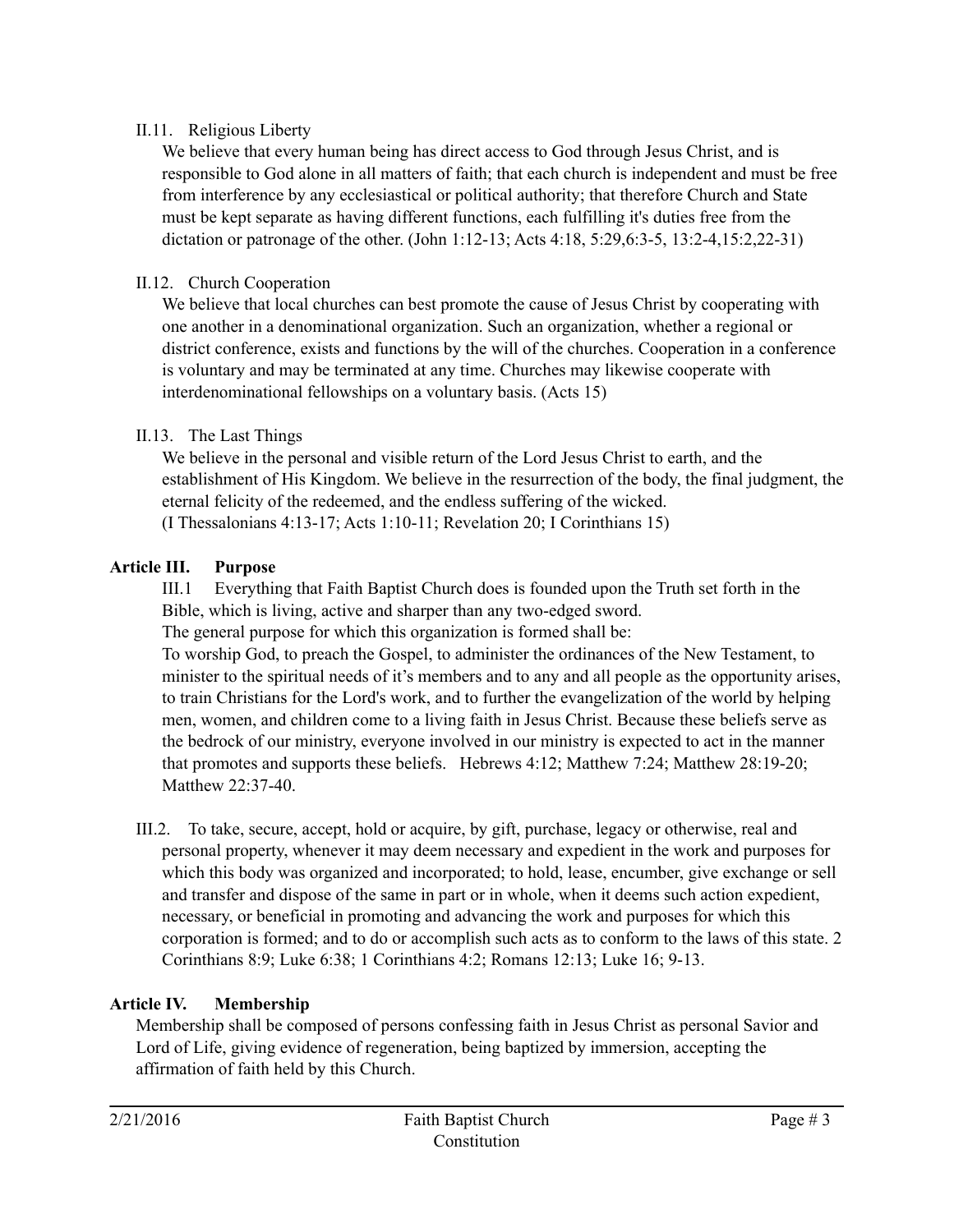# II.11. Religious Liberty

We believe that every human being has direct access to God through Jesus Christ, and is responsible to God alone in all matters of faith; that each church is independent and must be free from interference by any ecclesiastical or political authority; that therefore Church and State must be kept separate as having different functions, each fulfilling it's duties free from the dictation or patronage of the other. (John 1:12-13; Acts 4:18, 5:29,6:3-5, 13:2-4,15:2,22-31)

## II.12. Church Cooperation

We believe that local churches can best promote the cause of Jesus Christ by cooperating with one another in a denominational organization. Such an organization, whether a regional or district conference, exists and functions by the will of the churches. Cooperation in a conference is voluntary and may be terminated at any time. Churches may likewise cooperate with interdenominational fellowships on a voluntary basis. (Acts 15)

## II.13. The Last Things

We believe in the personal and visible return of the Lord Jesus Christ to earth, and the establishment of His Kingdom. We believe in the resurrection of the body, the final judgment, the eternal felicity of the redeemed, and the endless suffering of the wicked. (I Thessalonians 4:13-17; Acts 1:10-11; Revelation 20; I Corinthians 15)

## **Article III. Purpose**

III.1 Everything that Faith Baptist Church does is founded upon the Truth set forth in the Bible, which is living, active and sharper than any two-edged sword.

The general purpose for which this organization is formed shall be:

To worship God, to preach the Gospel, to administer the ordinances of the New Testament, to minister to the spiritual needs of it's members and to any and all people as the opportunity arises, to train Christians for the Lord's work, and to further the evangelization of the world by helping men, women, and children come to a living faith in Jesus Christ. Because these beliefs serve as the bedrock of our ministry, everyone involved in our ministry is expected to act in the manner that promotes and supports these beliefs. Hebrews 4:12; Matthew 7:24; Matthew 28:19-20; Matthew 22:37-40

III.2. To take, secure, accept, hold or acquire, by gift, purchase, legacy or otherwise, real and personal property, whenever it may deem necessary and expedient in the work and purposes for which this body was organized and incorporated; to hold, lease, encumber, give exchange or sell and transfer and dispose of the same in part or in whole, when it deems such action expedient, necessary, or beneficial in promoting and advancing the work and purposes for which this corporation is formed; and to do or accomplish such acts as to conform to the laws of this state. 2 Corinthians 8:9; Luke 6:38; 1 Corinthians 4:2; Romans 12:13; Luke 16; 9-13.

# **Article IV. Membership**

Membership shall be composed of persons confessing faith in Jesus Christ as personal Savior and Lord of Life, giving evidence of regeneration, being baptized by immersion, accepting the affirmation of faith held by this Church.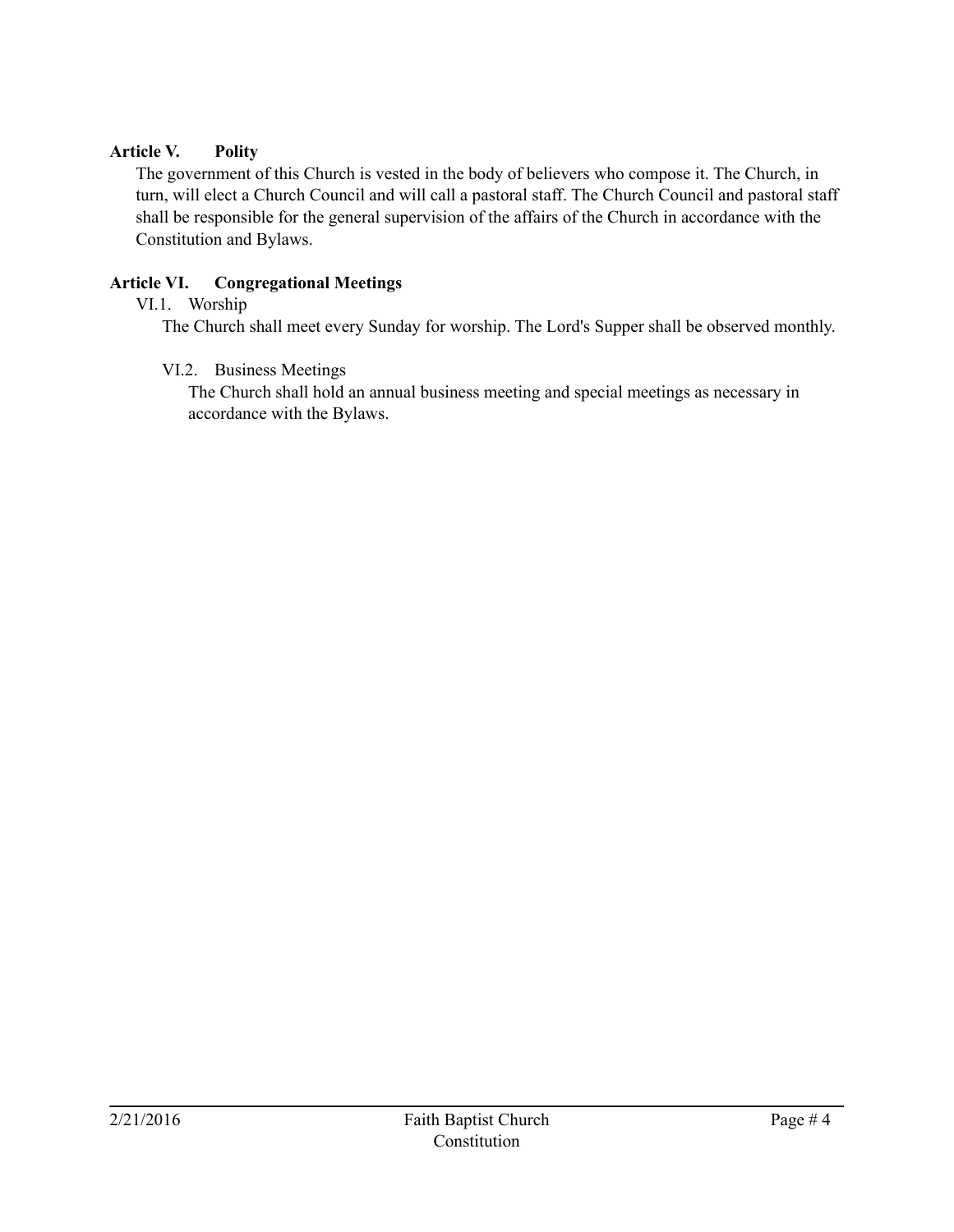#### **Article V. Polity**

The government of this Church is vested in the body of believers who compose it. The Church, in turn, will elect a Church Council and will call a pastoral staff. The Church Council and pastoral staff shall be responsible for the general supervision of the affairs of the Church in accordance with the Constitution and Bylaws.

## **Article VI. Congregational Meetings**

## VI.1. Worship

The Church shall meet every Sunday for worship. The Lord's Supper shall be observed monthly.

#### VI.2. Business Meetings

The Church shall hold an annual business meeting and special meetings as necessary in accordance with the Bylaws.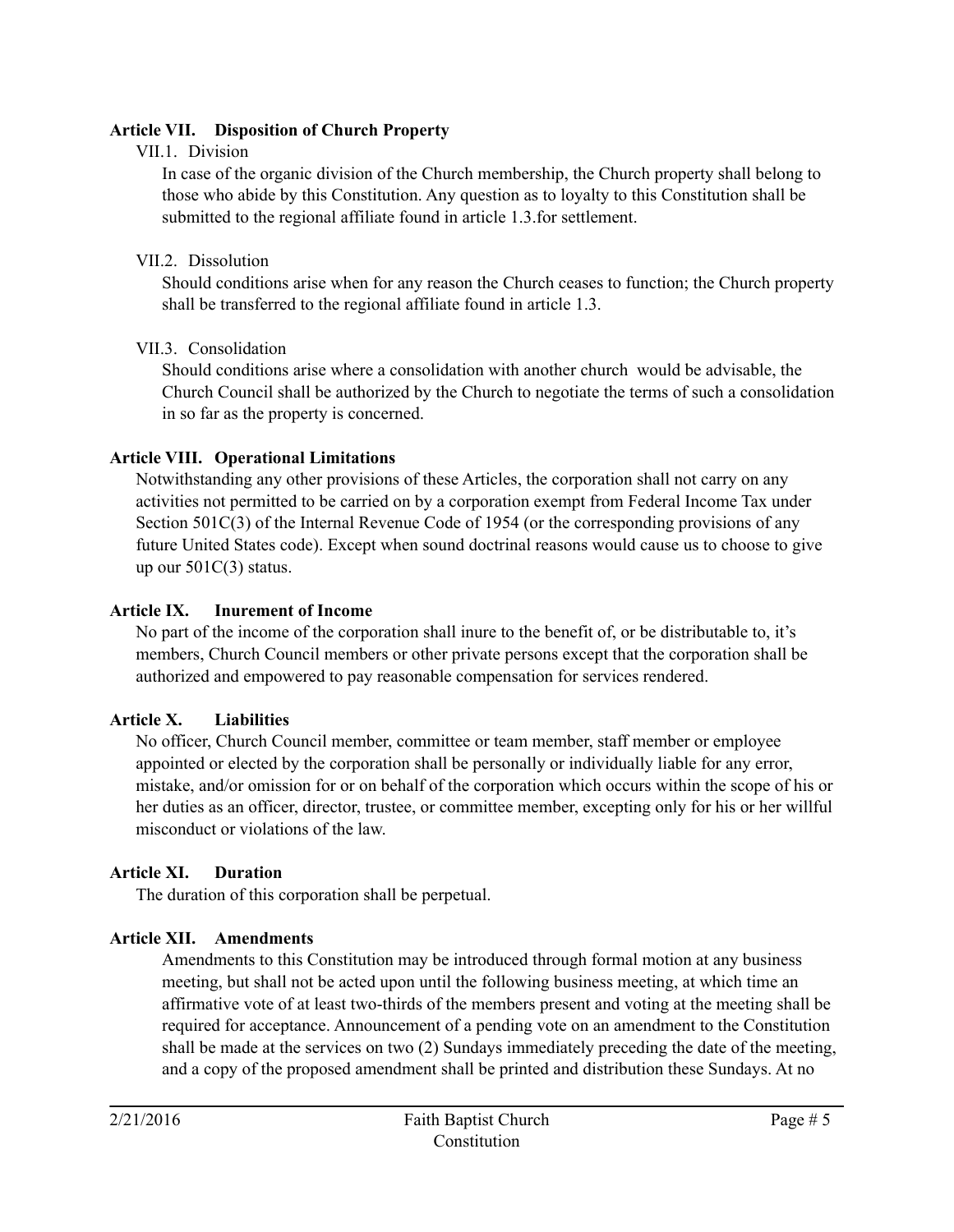## **Article VII. Disposition of Church Property**

## VII.1. Division

In case of the organic division of the Church membership, the Church property shall belong to those who abide by this Constitution. Any question as to loyalty to this Constitution shall be submitted to the regional affiliate found in article 1.3.for settlement.

## VII.2 Dissolution

Should conditions arise when for any reason the Church ceases to function; the Church property shall be transferred to the regional affiliate found in article 1.3.

## VII.3. Consolidation

Should conditions arise where a consolidation with another church would be advisable, the Church Council shall be authorized by the Church to negotiate the terms of such a consolidation in so far as the property is concerned.

## **Article VIII. Operational Limitations**

Notwithstanding any other provisions of these Articles, the corporation shall not carry on any activities not permitted to be carried on by a corporation exempt from Federal Income Tax under Section 501C(3) of the Internal Revenue Code of 1954 (or the corresponding provisions of any future United States code). Except when sound doctrinal reasons would cause us to choose to give up our 501C(3) status.

## **Article IX. Inurement of Income**

No part of the income of the corporation shall inure to the benefit of, or be distributable to, it's members, Church Council members or other private persons except that the corporation shall be authorized and empowered to pay reasonable compensation for services rendered.

# **Article X. Liabilities**

No officer, Church Council member, committee or team member, staff member or employee appointed or elected by the corporation shall be personally or individually liable for any error, mistake, and/or omission for or on behalf of the corporation which occurs within the scope of his or her duties as an officer, director, trustee, or committee member, excepting only for his or her willful misconduct or violations of the law.

# **Article XI. Duration**

The duration of this corporation shall be perpetual.

# **Article XII. Amendments**

Amendments to this Constitution may be introduced through formal motion at any business meeting, but shall not be acted upon until the following business meeting, at which time an affirmative vote of at least two-thirds of the members present and voting at the meeting shall be required for acceptance. Announcement of a pending vote on an amendment to the Constitution shall be made at the services on two (2) Sundays immediately preceding the date of the meeting, and a copy of the proposed amendment shall be printed and distribution these Sundays. At no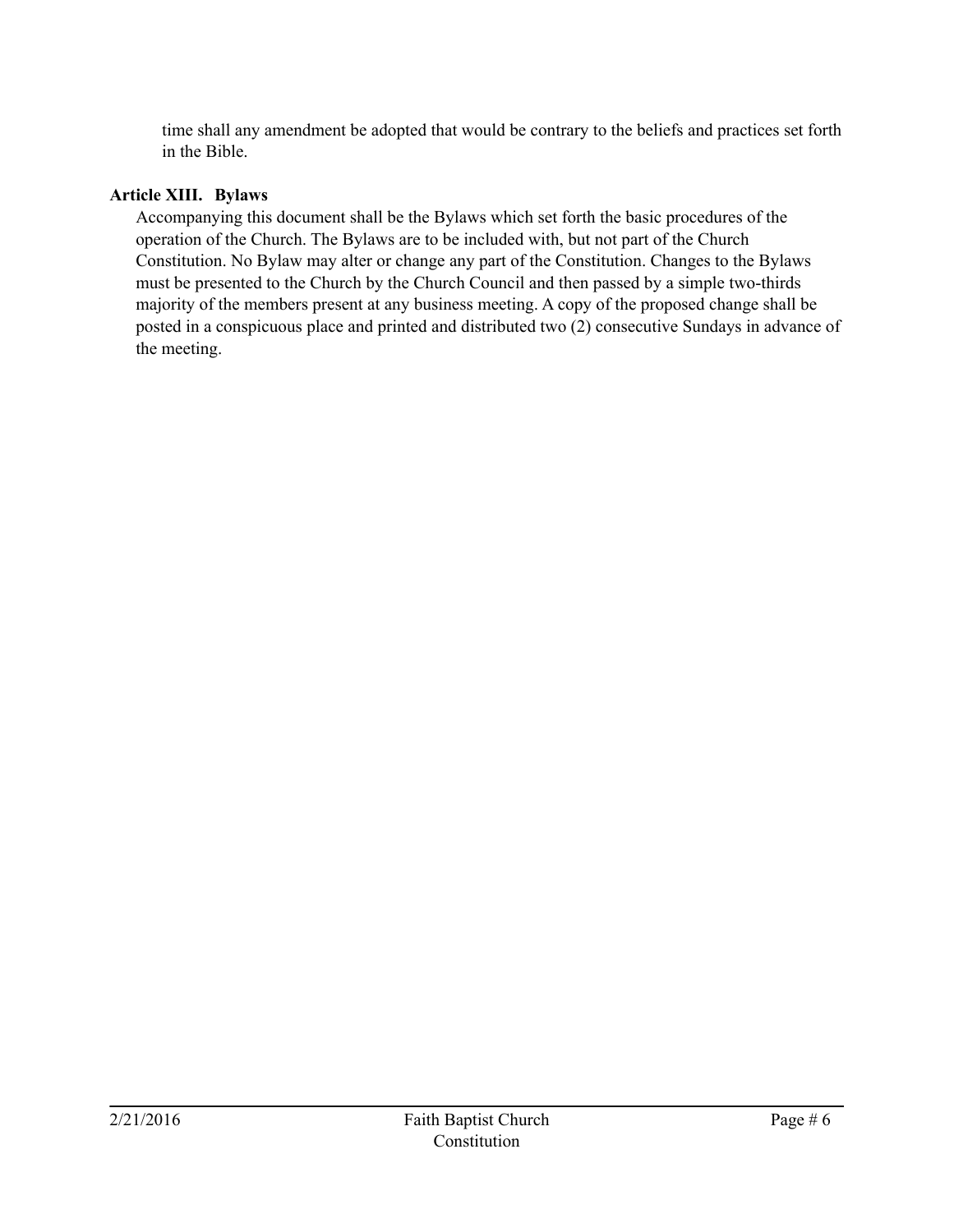time shall any amendment be adopted that would be contrary to the beliefs and practices set forth in the Bible.

#### **Article XIII. Bylaws**

Accompanying this document shall be the Bylaws which set forth the basic procedures of the operation of the Church. The Bylaws are to be included with, but not part of the Church Constitution. No Bylaw may alter or change any part of the Constitution. Changes to the Bylaws must be presented to the Church by the Church Council and then passed by a simple two-thirds majority of the members present at any business meeting. A copy of the proposed change shall be posted in a conspicuous place and printed and distributed two (2) consecutive Sundays in advance of the meeting.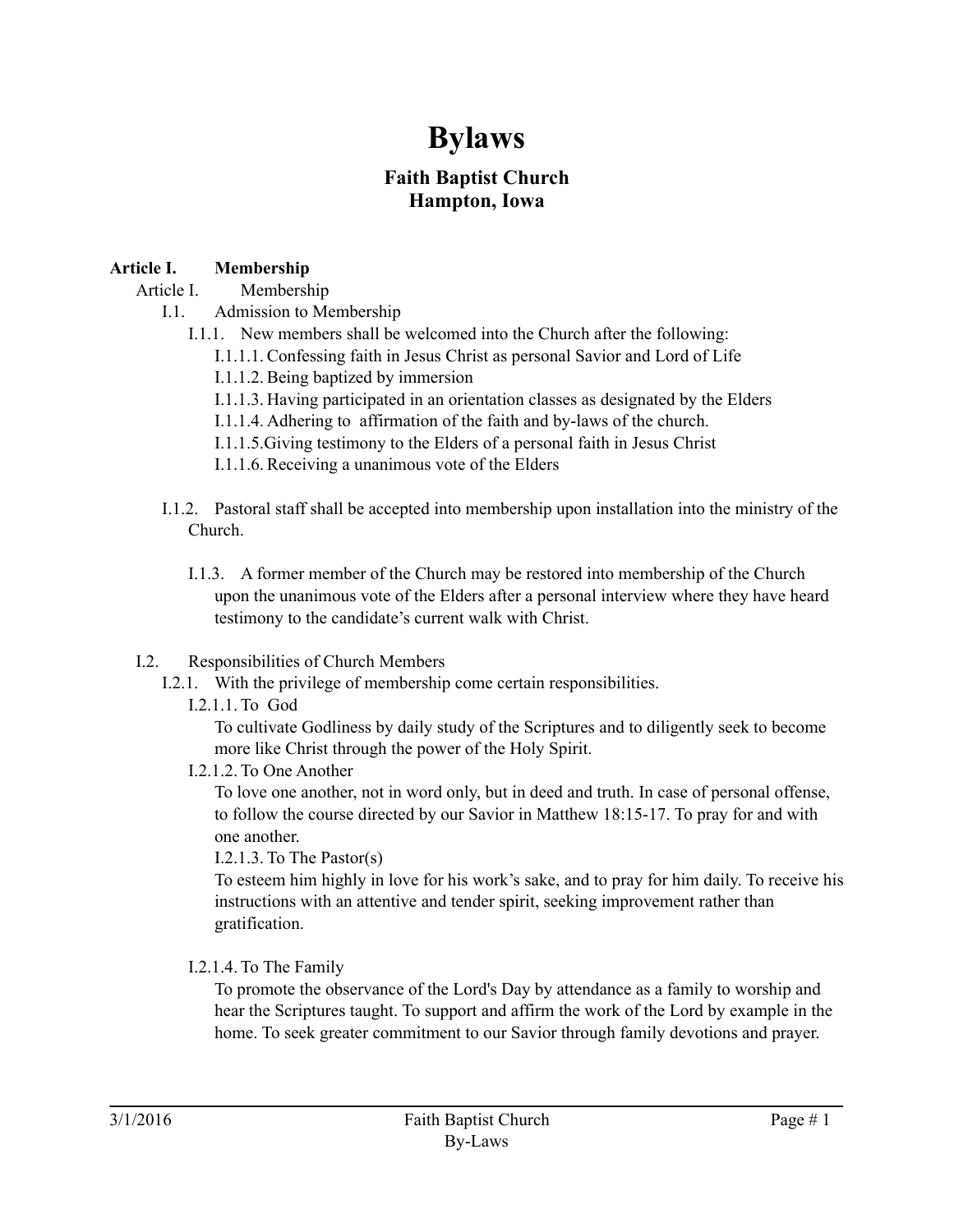# **Bylaws**

# **Faith Baptist Church Hampton, Iowa**

## **Article I. Membership**

Article I. Membership

- I.1. Admission to Membership
	- I.1.1. New members shall be welcomed into the Church after the following:
		- I.1.1.1. Confessing faith in Jesus Christ as personal Savior and Lord of Life
		- I.1.1.2. Being baptized by immersion
		- I.1.1.3. Having participated in an orientation classes as designated by the Elders
		- I.1.1.4. Adhering to affirmation of the faith and by-laws of the church.
		- I.1.1.5.Giving testimony to the Elders of a personal faith in Jesus Christ
		- I.1.1.6. Receiving a unanimous vote of the Elders
- I.1.2. Pastoral staff shall be accepted into membership upon installation into the ministry of the Church.
	- I.1.3. A former member of the Church may be restored into membership of the Church upon the unanimous vote of the Elders after a personal interview where they have heard testimony to the candidate's current walk with Christ.
- I.2. Responsibilities of Church Members
	- I.2.1. With the privilege of membership come certain responsibilities.
		- I.2.1.1. To God

To cultivate Godliness by daily study of the Scriptures and to diligently seek to become more like Christ through the power of the Holy Spirit.

I.2.1.2. To One Another

To love one another, not in word only, but in deed and truth. In case of personal offense, to follow the course directed by our Savior in Matthew 18:15-17. To pray for and with one another.

I.2.1.3. To The Pastor(s)

To esteem him highly in love for his work's sake, and to pray for him daily. To receive his instructions with an attentive and tender spirit, seeking improvement rather than gratification.

I.2.1.4. To The Family

To promote the observance of the Lord's Day by attendance as a family to worship and hear the Scriptures taught. To support and affirm the work of the Lord by example in the home. To seek greater commitment to our Savior through family devotions and prayer.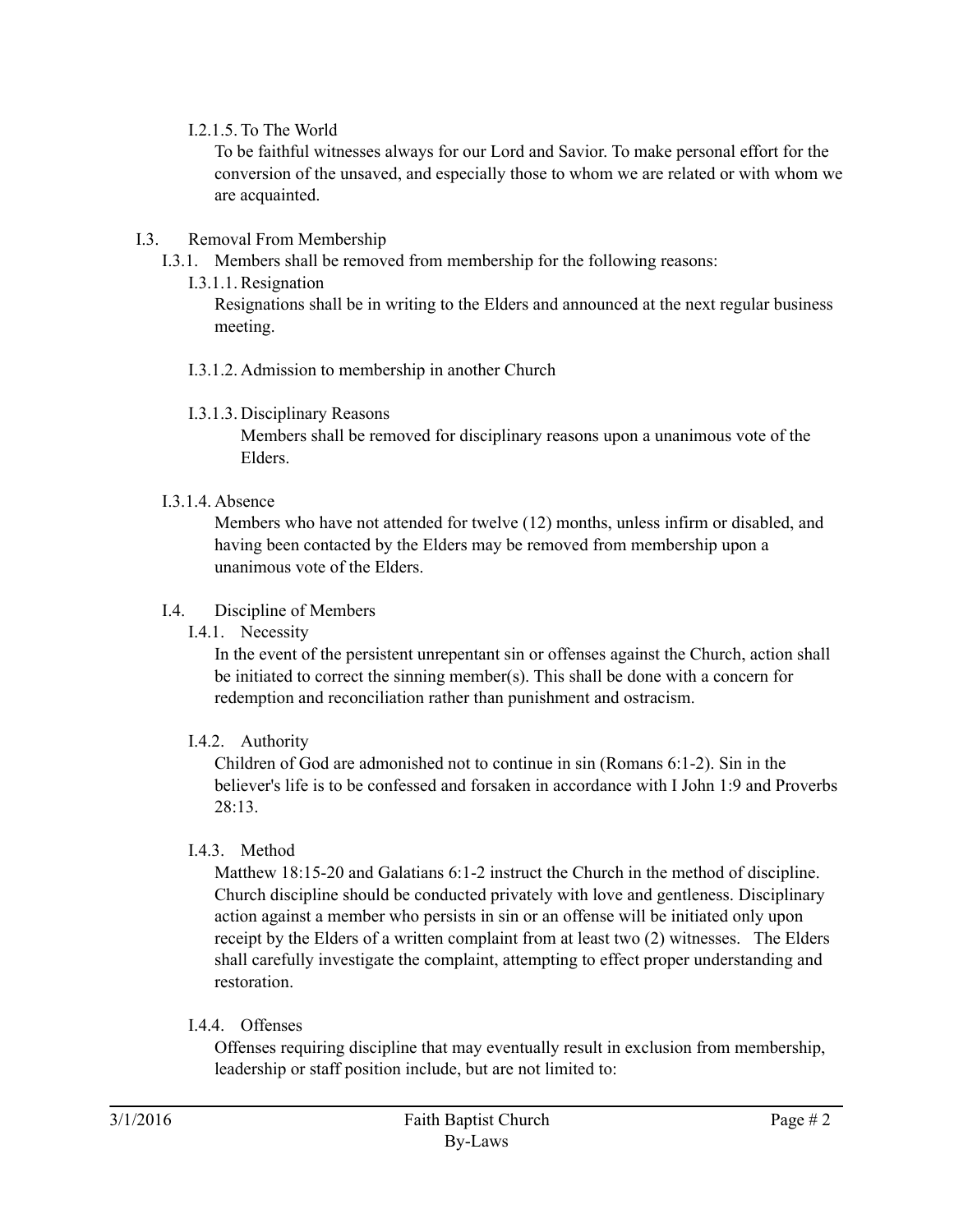#### I.2.1.5. To The World

To be faithful witnesses always for our Lord and Savior. To make personal effort for the conversion of the unsaved, and especially those to whom we are related or with whom we are acquainted.

#### I.3. Removal From Membership

- I.3.1. Members shall be removed from membership for the following reasons:
	- I.3.1.1. Resignation

Resignations shall be in writing to the Elders and announced at the next regular business meeting.

- I.3.1.2. Admission to membership in another Church
- I.3.1.3. Disciplinary Reasons

Members shall be removed for disciplinary reasons upon a unanimous vote of the Elders.

## I.3.1.4. Absence

Members who have not attended for twelve (12) months, unless infirm or disabled, and having been contacted by the Elders may be removed from membership upon a unanimous vote of the Elders.

## I.4. Discipline of Members

I.4.1. Necessity

In the event of the persistent unrepentant sin or offenses against the Church, action shall be initiated to correct the sinning member(s). This shall be done with a concern for redemption and reconciliation rather than punishment and ostracism.

# I.4.2. Authority

Children of God are admonished not to continue in sin (Romans 6:1-2). Sin in the believer's life is to be confessed and forsaken in accordance with I John 1:9 and Proverbs  $28.13$ 

# I.4.3. Method

Matthew 18:15-20 and Galatians 6:1-2 instruct the Church in the method of discipline. Church discipline should be conducted privately with love and gentleness. Disciplinary action against a member who persists in sin or an offense will be initiated only upon receipt by the Elders of a written complaint from at least two (2) witnesses. The Elders shall carefully investigate the complaint, attempting to effect proper understanding and restoration.

# I.4.4. Offenses

Offenses requiring discipline that may eventually result in exclusion from membership, leadership or staff position include, but are not limited to: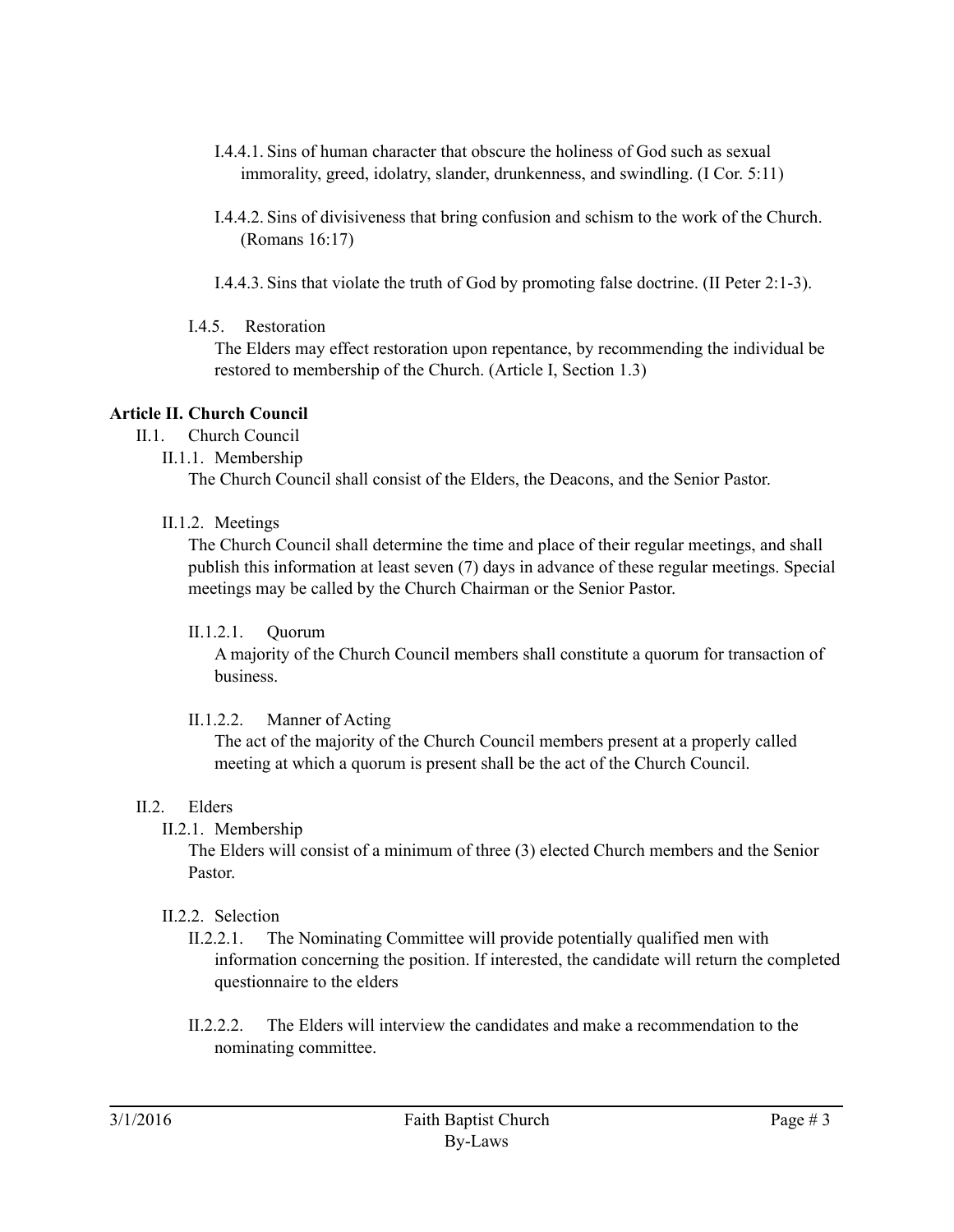- I.4.4.1. Sins of human character that obscure the holiness of God such as sexual immorality, greed, idolatry, slander, drunkenness, and swindling. (I Cor. 5:11)
- I.4.4.2. Sins of divisiveness that bring confusion and schism to the work of the Church. (Romans 16:17)
- I.4.4.3. Sins that violate the truth of God by promoting false doctrine. (II Peter 2:1-3).
- I.4.5. Restoration

The Elders may effect restoration upon repentance, by recommending the individual be restored to membership of the Church. (Article I, Section 1.3)

# **Article II. Church Council**

- II.1. Church Council
	- II.1.1. Membership

The Church Council shall consist of the Elders, the Deacons, and the Senior Pastor.

II.1.2. Meetings

The Church Council shall determine the time and place of their regular meetings, and shall publish this information at least seven (7) days in advance of these regular meetings. Special meetings may be called by the Church Chairman or the Senior Pastor.

II.1.2.1. Quorum

A majority of the Church Council members shall constitute a quorum for transaction of business.

II.1.2.2. Manner of Acting

The act of the majority of the Church Council members present at a properly called meeting at which a quorum is present shall be the act of the Church Council.

# II.2. Elders

II.2.1. Membership

The Elders will consist of a minimum of three (3) elected Church members and the Senior Pastor.

# II.2.2. Selection

- II.2.2.1. The Nominating Committee will provide potentially qualified men with information concerning the position. If interested, the candidate will return the completed questionnaire to the elders
- II.2.2.2. The Elders will interview the candidates and make a recommendation to the nominating committee.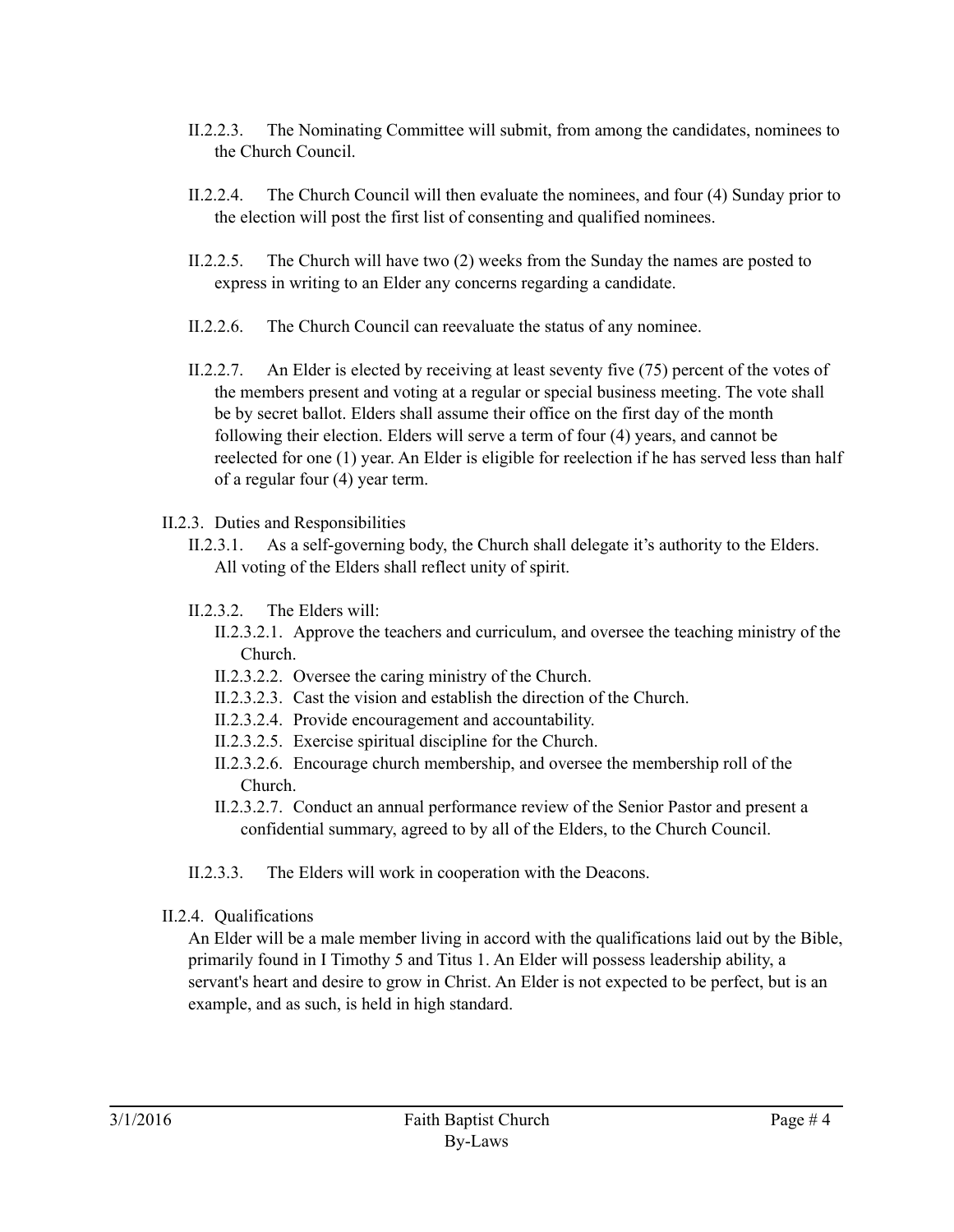- II.2.2.3. The Nominating Committee will submit, from among the candidates, nominees to the Church Council.
- II.2.2.4. The Church Council will then evaluate the nominees, and four (4) Sunday prior to the election will post the first list of consenting and qualified nominees.
- II.2.2.5. The Church will have two (2) weeks from the Sunday the names are posted to express in writing to an Elder any concerns regarding a candidate.
- II.2.2.6. The Church Council can reevaluate the status of any nominee.
- II.2.2.7. An Elder is elected by receiving at least seventy five (75) percent of the votes of the members present and voting at a regular or special business meeting. The vote shall be by secret ballot. Elders shall assume their office on the first day of the month following their election. Elders will serve a term of four (4) years, and cannot be reelected for one (1) year. An Elder is eligible for reelection if he has served less than half of a regular four (4) year term.
- II.2.3. Duties and Responsibilities
	- II.2.3.1. As a self-governing body, the Church shall delegate it's authority to the Elders. All voting of the Elders shall reflect unity of spirit.
	- II.2.3.2. The Elders will:
		- II.2.3.2.1. Approve the teachers and curriculum, and oversee the teaching ministry of the Church.
		- II.2.3.2.2. Oversee the caring ministry of the Church.
		- II.2.3.2.3. Cast the vision and establish the direction of the Church.
		- II.2.3.2.4. Provide encouragement and accountability.
		- II.2.3.2.5. Exercise spiritual discipline for the Church.
		- II.2.3.2.6. Encourage church membership, and oversee the membership roll of the Church.
		- II.2.3.2.7. Conduct an annual performance review of the Senior Pastor and present a confidential summary, agreed to by all of the Elders, to the Church Council.
	- II.2.3.3. The Elders will work in cooperation with the Deacons.
- II.2.4. Qualifications

An Elder will be a male member living in accord with the qualifications laid out by the Bible, primarily found in I Timothy 5 and Titus 1. An Elder will possess leadership ability, a servant's heart and desire to grow in Christ. An Elder is not expected to be perfect, but is an example, and as such, is held in high standard.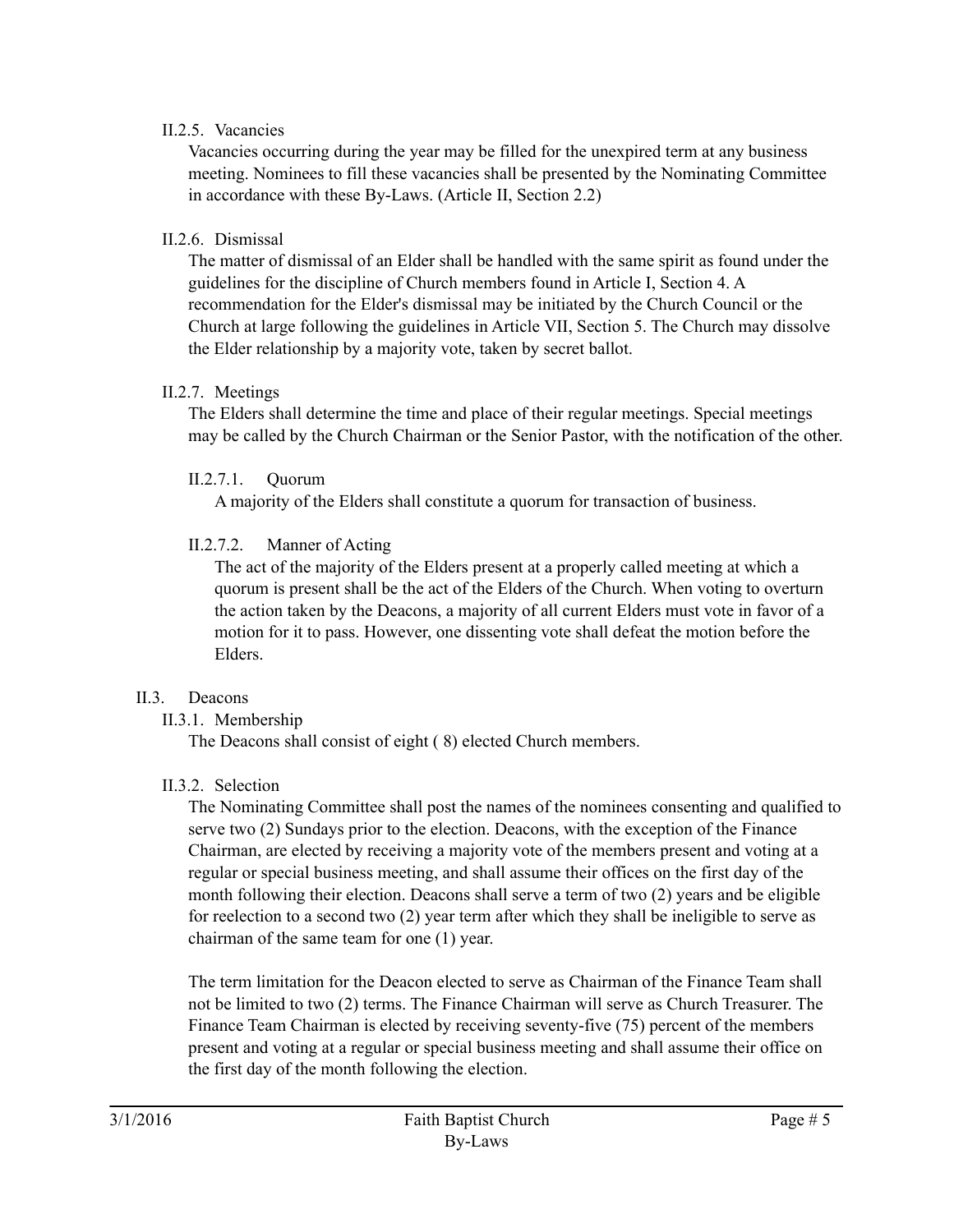#### II.2.5. Vacancies

Vacancies occurring during the year may be filled for the unexpired term at any business meeting. Nominees to fill these vacancies shall be presented by the Nominating Committee in accordance with these By-Laws. (Article II, Section 2.2)

#### II.2.6. Dismissal

The matter of dismissal of an Elder shall be handled with the same spirit as found under the guidelines for the discipline of Church members found in Article I, Section 4. A recommendation for the Elder's dismissal may be initiated by the Church Council or the Church at large following the guidelines in Article VII, Section 5. The Church may dissolve the Elder relationship by a majority vote, taken by secret ballot.

#### II.2.7. Meetings

The Elders shall determine the time and place of their regular meetings. Special meetings may be called by the Church Chairman or the Senior Pastor, with the notification of the other.

#### II.2.7.1. Quorum

A majority of the Elders shall constitute a quorum for transaction of business.

#### II.2.7.2. Manner of Acting

The act of the majority of the Elders present at a properly called meeting at which a quorum is present shall be the act of the Elders of the Church. When voting to overturn the action taken by the Deacons, a majority of all current Elders must vote in favor of a motion for it to pass. However, one dissenting vote shall defeat the motion before the Elders.

#### II.3. Deacons

II.3.1. Membership

The Deacons shall consist of eight ( 8) elected Church members.

#### II.3.2. Selection

The Nominating Committee shall post the names of the nominees consenting and qualified to serve two (2) Sundays prior to the election. Deacons, with the exception of the Finance Chairman, are elected by receiving a majority vote of the members present and voting at a regular or special business meeting, and shall assume their offices on the first day of the month following their election. Deacons shall serve a term of two (2) years and be eligible for reelection to a second two (2) year term after which they shall be ineligible to serve as chairman of the same team for one (1) year.

The term limitation for the Deacon elected to serve as Chairman of the Finance Team shall not be limited to two (2) terms. The Finance Chairman will serve as Church Treasurer. The Finance Team Chairman is elected by receiving seventy-five (75) percent of the members present and voting at a regular or special business meeting and shall assume their office on the first day of the month following the election.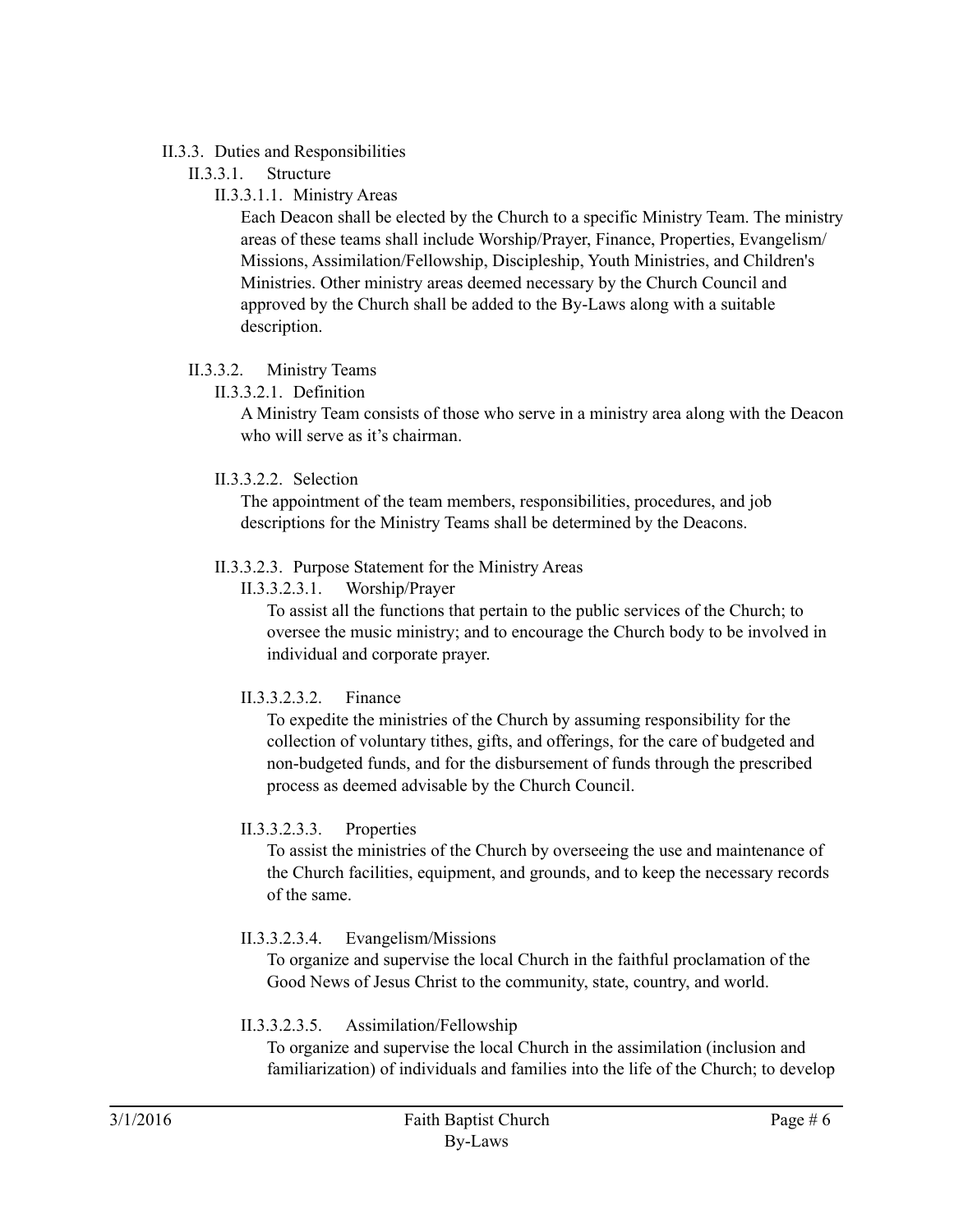#### II.3.3. Duties and Responsibilities

- II.3.3.1. Structure
	- II.3.3.1.1. Ministry Areas

Each Deacon shall be elected by the Church to a specific Ministry Team. The ministry areas of these teams shall include Worship/Prayer, Finance, Properties, Evangelism/ Missions, Assimilation/Fellowship, Discipleship, Youth Ministries, and Children's Ministries. Other ministry areas deemed necessary by the Church Council and approved by the Church shall be added to the By-Laws along with a suitable description.

## II.3.3.2. Ministry Teams

II.3.3.2.1. Definition

A Ministry Team consists of those who serve in a ministry area along with the Deacon who will serve as it's chairman.

II.3.3.2.2. Selection

The appointment of the team members, responsibilities, procedures, and job descriptions for the Ministry Teams shall be determined by the Deacons.

## II.3.3.2.3. Purpose Statement for the Ministry Areas

II.3.3.2.3.1. Worship/Prayer

To assist all the functions that pertain to the public services of the Church; to oversee the music ministry; and to encourage the Church body to be involved in individual and corporate prayer.

# II.3.3.2.3.2. Finance

To expedite the ministries of the Church by assuming responsibility for the collection of voluntary tithes, gifts, and offerings, for the care of budgeted and non-budgeted funds, and for the disbursement of funds through the prescribed process as deemed advisable by the Church Council.

# II.3.3.2.3.3. Properties

To assist the ministries of the Church by overseeing the use and maintenance of the Church facilities, equipment, and grounds, and to keep the necessary records of the same.

II.3.3.2.3.4. Evangelism/Missions

To organize and supervise the local Church in the faithful proclamation of the Good News of Jesus Christ to the community, state, country, and world.

# II.3.3.2.3.5. Assimilation/Fellowship

To organize and supervise the local Church in the assimilation (inclusion and familiarization) of individuals and families into the life of the Church; to develop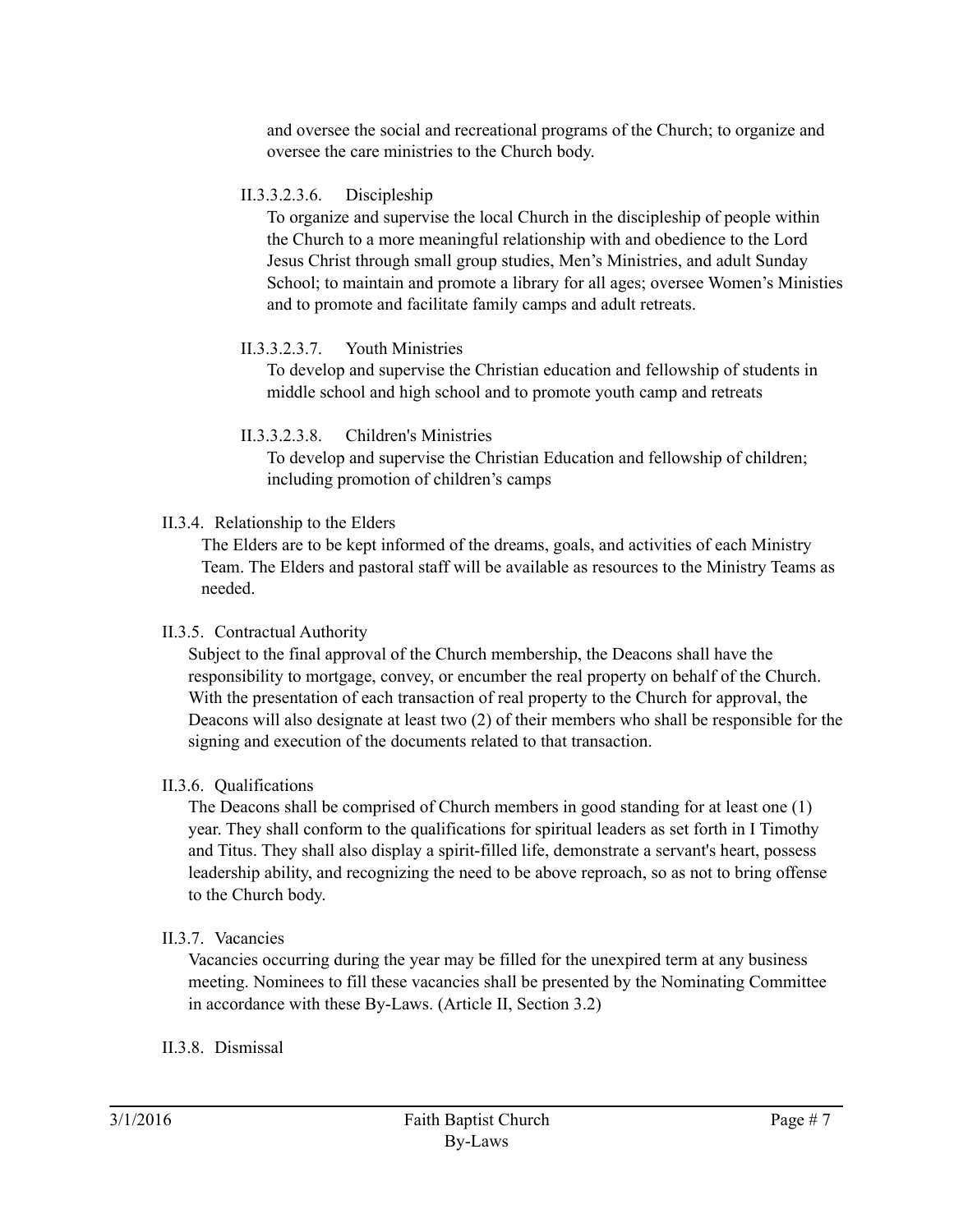and oversee the social and recreational programs of the Church; to organize and oversee the care ministries to the Church body.

#### II.3.3.2.3.6. Discipleship

To organize and supervise the local Church in the discipleship of people within the Church to a more meaningful relationship with and obedience to the Lord Jesus Christ through small group studies, Men's Ministries, and adult Sunday School; to maintain and promote a library for all ages; oversee Women's Ministies and to promote and facilitate family camps and adult retreats.

## II.3.3.2.3.7. Youth Ministries

To develop and supervise the Christian education and fellowship of students in middle school and high school and to promote youth camp and retreats

#### II.3.3.2.3.8. Children's Ministries

To develop and supervise the Christian Education and fellowship of children; including promotion of children's camps

## II.3.4. Relationship to the Elders

The Elders are to be kept informed of the dreams, goals, and activities of each Ministry Team. The Elders and pastoral staff will be available as resources to the Ministry Teams as needed.

# II.3.5. Contractual Authority

Subject to the final approval of the Church membership, the Deacons shall have the responsibility to mortgage, convey, or encumber the real property on behalf of the Church. With the presentation of each transaction of real property to the Church for approval, the Deacons will also designate at least two (2) of their members who shall be responsible for the signing and execution of the documents related to that transaction.

# II.3.6. Qualifications

The Deacons shall be comprised of Church members in good standing for at least one (1) year. They shall conform to the qualifications for spiritual leaders as set forth in I Timothy and Titus. They shall also display a spirit-filled life, demonstrate a servant's heart, possess leadership ability, and recognizing the need to be above reproach, so as not to bring offense to the Church body.

# II.3.7. Vacancies

Vacancies occurring during the year may be filled for the unexpired term at any business meeting. Nominees to fill these vacancies shall be presented by the Nominating Committee in accordance with these By-Laws. (Article II, Section 3.2)

# II.3.8. Dismissal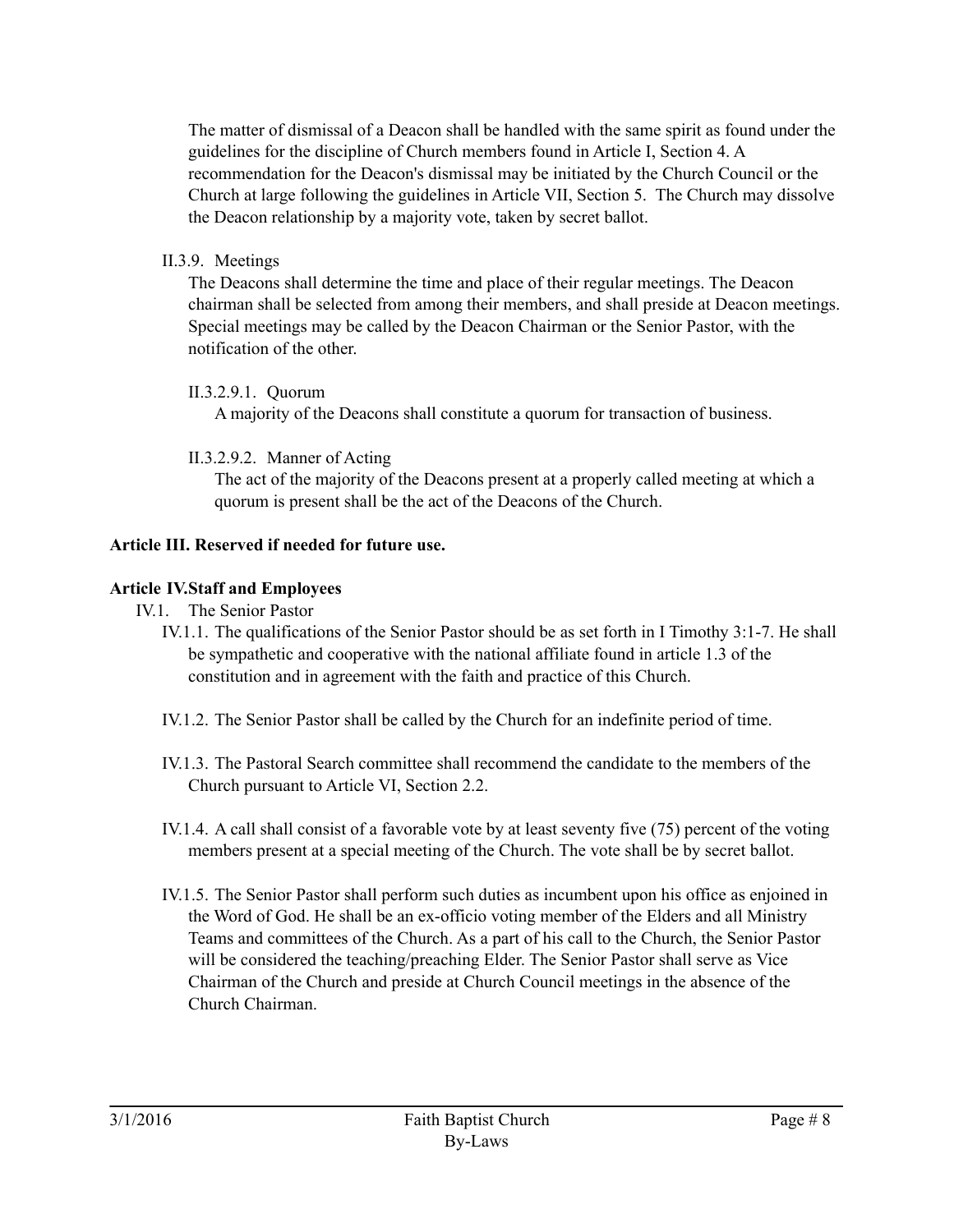The matter of dismissal of a Deacon shall be handled with the same spirit as found under the guidelines for the discipline of Church members found in Article I, Section 4. A recommendation for the Deacon's dismissal may be initiated by the Church Council or the Church at large following the guidelines in Article VII, Section 5. The Church may dissolve the Deacon relationship by a majority vote, taken by secret ballot.

II.3.9. Meetings

The Deacons shall determine the time and place of their regular meetings. The Deacon chairman shall be selected from among their members, and shall preside at Deacon meetings. Special meetings may be called by the Deacon Chairman or the Senior Pastor, with the notification of the other.

## II.3.2.9.1. Quorum

A majority of the Deacons shall constitute a quorum for transaction of business.

# II.3.2.9.2. Manner of Acting

The act of the majority of the Deacons present at a properly called meeting at which a quorum is present shall be the act of the Deacons of the Church.

# **Article III. Reserved if needed for future use.**

# **Article IV.Staff and Employees**

- IV.1. The Senior Pastor
	- IV.1.1. The qualifications of the Senior Pastor should be as set forth in I Timothy 3:1-7. He shall be sympathetic and cooperative with the national affiliate found in article 1.3 of the constitution and in agreement with the faith and practice of this Church.
	- IV.1.2. The Senior Pastor shall be called by the Church for an indefinite period of time.
	- IV.1.3. The Pastoral Search committee shall recommend the candidate to the members of the Church pursuant to Article VI, Section 2.2.
	- IV.1.4. A call shall consist of a favorable vote by at least seventy five (75) percent of the voting members present at a special meeting of the Church. The vote shall be by secret ballot.
	- IV.1.5. The Senior Pastor shall perform such duties as incumbent upon his office as enjoined in the Word of God. He shall be an ex-officio voting member of the Elders and all Ministry Teams and committees of the Church. As a part of his call to the Church, the Senior Pastor will be considered the teaching/preaching Elder. The Senior Pastor shall serve as Vice Chairman of the Church and preside at Church Council meetings in the absence of the Church Chairman.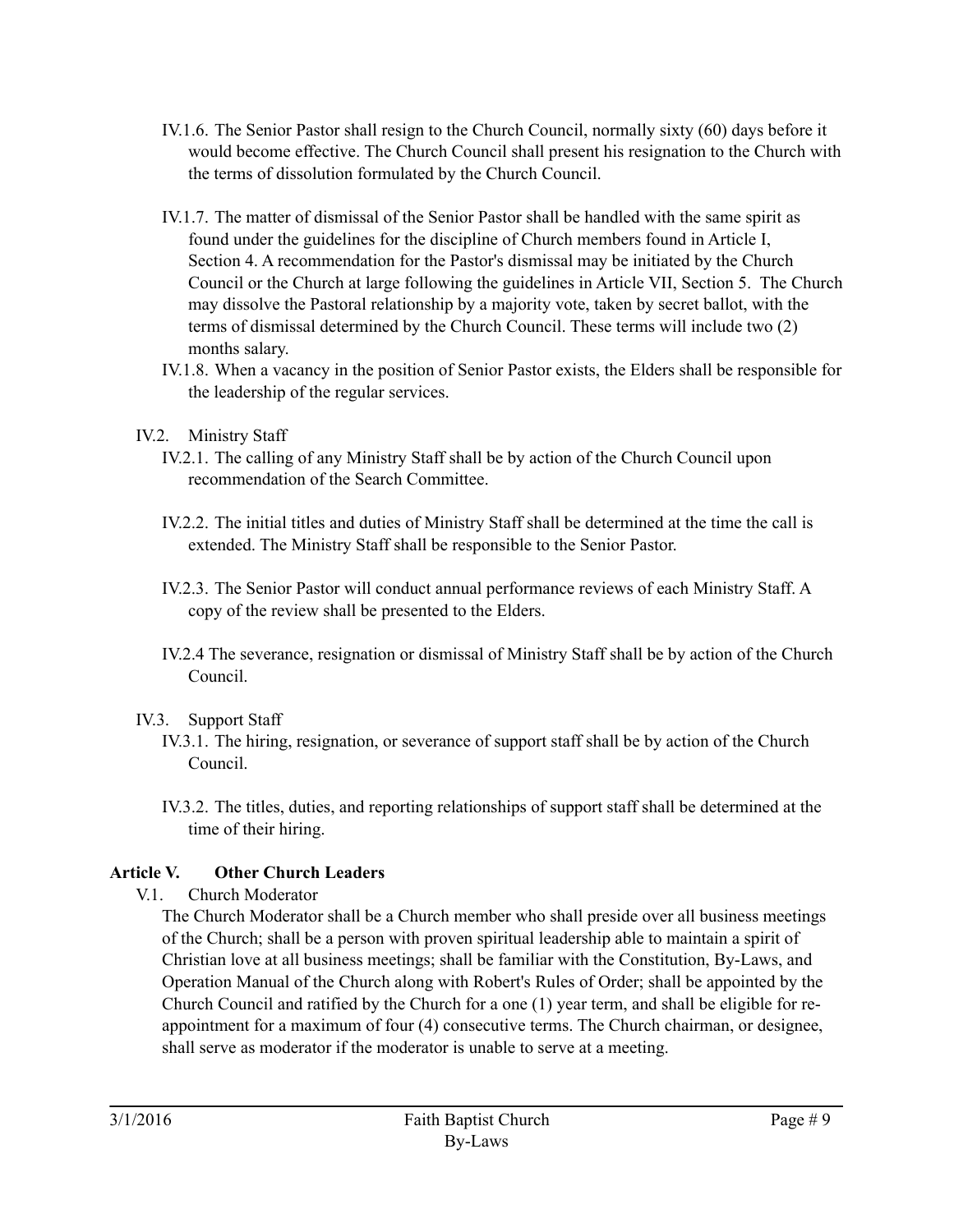- IV.1.6. The Senior Pastor shall resign to the Church Council, normally sixty (60) days before it would become effective. The Church Council shall present his resignation to the Church with the terms of dissolution formulated by the Church Council.
- IV.1.7. The matter of dismissal of the Senior Pastor shall be handled with the same spirit as found under the guidelines for the discipline of Church members found in Article I, Section 4. A recommendation for the Pastor's dismissal may be initiated by the Church Council or the Church at large following the guidelines in Article VII, Section 5. The Church may dissolve the Pastoral relationship by a majority vote, taken by secret ballot, with the terms of dismissal determined by the Church Council. These terms will include two (2) months salary.
- IV.1.8. When a vacancy in the position of Senior Pastor exists, the Elders shall be responsible for the leadership of the regular services.
- IV.2. Ministry Staff
	- IV.2.1. The calling of any Ministry Staff shall be by action of the Church Council upon recommendation of the Search Committee.
	- IV.2.2. The initial titles and duties of Ministry Staff shall be determined at the time the call is extended. The Ministry Staff shall be responsible to the Senior Pastor.
	- IV.2.3. The Senior Pastor will conduct annual performance reviews of each Ministry Staff. A copy of the review shall be presented to the Elders.
	- IV.2.4 The severance, resignation or dismissal of Ministry Staff shall be by action of the Church Council.

# IV.3. Support Staff

- IV.3.1. The hiring, resignation, or severance of support staff shall be by action of the Church Council.
- IV.3.2. The titles, duties, and reporting relationships of support staff shall be determined at the time of their hiring.

# **Article V. Other Church Leaders**

V.1. Church Moderator

The Church Moderator shall be a Church member who shall preside over all business meetings of the Church; shall be a person with proven spiritual leadership able to maintain a spirit of Christian love at all business meetings; shall be familiar with the Constitution, By-Laws, and Operation Manual of the Church along with Robert's Rules of Order; shall be appointed by the Church Council and ratified by the Church for a one (1) year term, and shall be eligible for reappointment for a maximum of four (4) consecutive terms. The Church chairman, or designee, shall serve as moderator if the moderator is unable to serve at a meeting.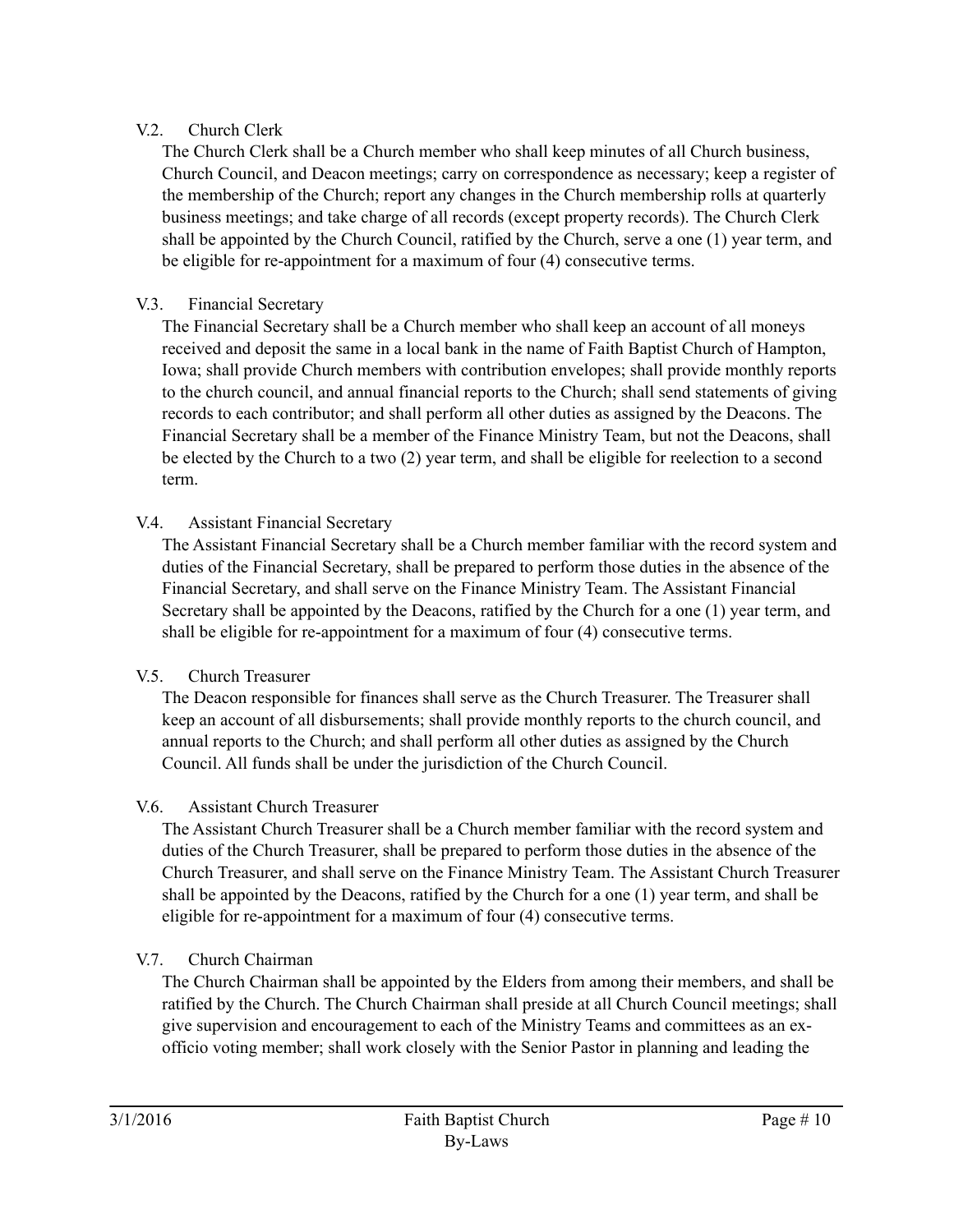# V.2. Church Clerk

The Church Clerk shall be a Church member who shall keep minutes of all Church business, Church Council, and Deacon meetings; carry on correspondence as necessary; keep a register of the membership of the Church; report any changes in the Church membership rolls at quarterly business meetings; and take charge of all records (except property records). The Church Clerk shall be appointed by the Church Council, ratified by the Church, serve a one (1) year term, and be eligible for re-appointment for a maximum of four (4) consecutive terms.

# V.3. Financial Secretary

The Financial Secretary shall be a Church member who shall keep an account of all moneys received and deposit the same in a local bank in the name of Faith Baptist Church of Hampton, Iowa; shall provide Church members with contribution envelopes; shall provide monthly reports to the church council, and annual financial reports to the Church; shall send statements of giving records to each contributor; and shall perform all other duties as assigned by the Deacons. The Financial Secretary shall be a member of the Finance Ministry Team, but not the Deacons, shall be elected by the Church to a two (2) year term, and shall be eligible for reelection to a second term.

# V.4. Assistant Financial Secretary

The Assistant Financial Secretary shall be a Church member familiar with the record system and duties of the Financial Secretary, shall be prepared to perform those duties in the absence of the Financial Secretary, and shall serve on the Finance Ministry Team. The Assistant Financial Secretary shall be appointed by the Deacons, ratified by the Church for a one (1) year term, and shall be eligible for re-appointment for a maximum of four (4) consecutive terms.

# V.5. Church Treasurer

The Deacon responsible for finances shall serve as the Church Treasurer. The Treasurer shall keep an account of all disbursements; shall provide monthly reports to the church council, and annual reports to the Church; and shall perform all other duties as assigned by the Church Council. All funds shall be under the jurisdiction of the Church Council.

# V.6. Assistant Church Treasurer

The Assistant Church Treasurer shall be a Church member familiar with the record system and duties of the Church Treasurer, shall be prepared to perform those duties in the absence of the Church Treasurer, and shall serve on the Finance Ministry Team. The Assistant Church Treasurer shall be appointed by the Deacons, ratified by the Church for a one (1) year term, and shall be eligible for re-appointment for a maximum of four (4) consecutive terms.

# V.7. Church Chairman

The Church Chairman shall be appointed by the Elders from among their members, and shall be ratified by the Church. The Church Chairman shall preside at all Church Council meetings; shall give supervision and encouragement to each of the Ministry Teams and committees as an exofficio voting member; shall work closely with the Senior Pastor in planning and leading the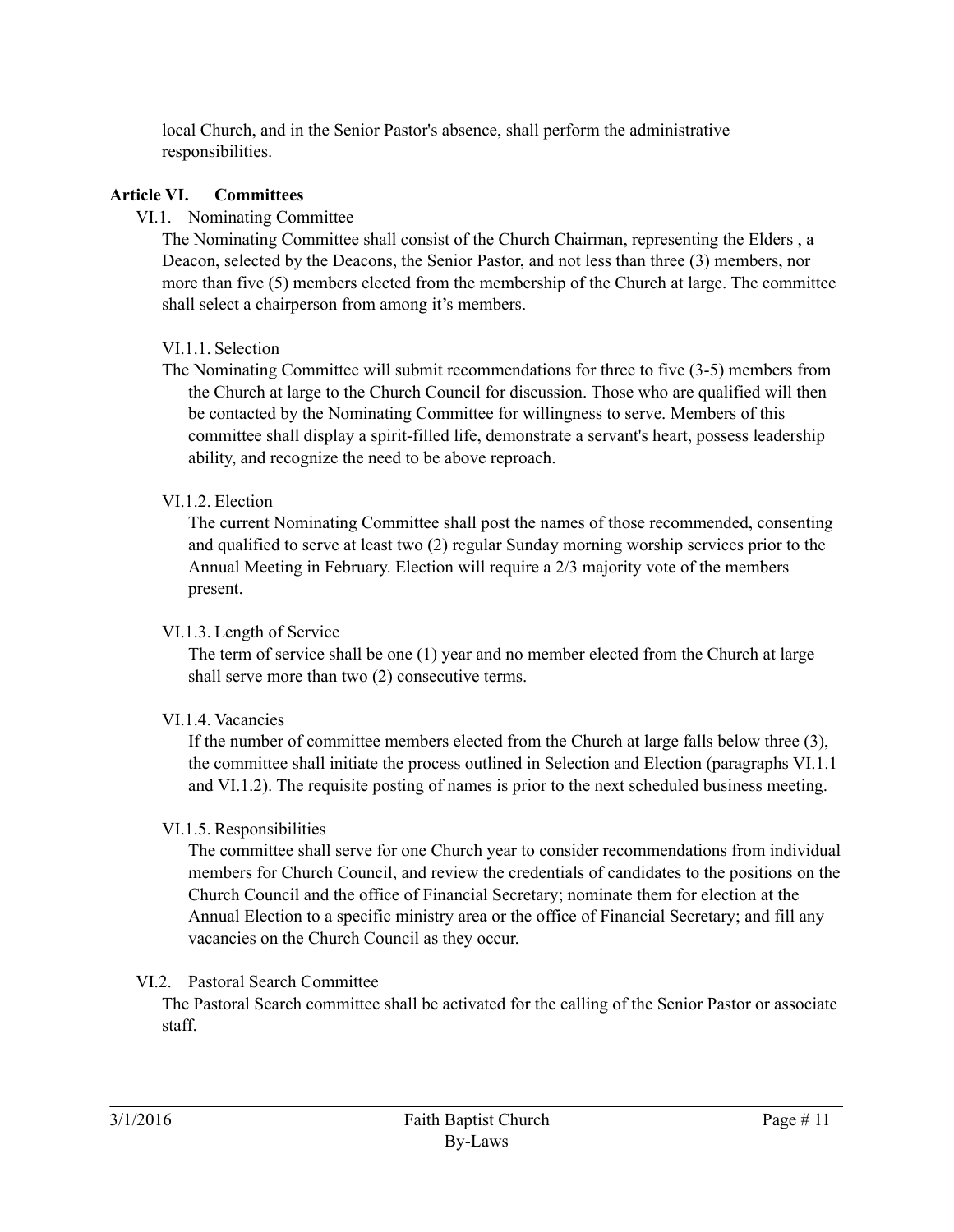local Church, and in the Senior Pastor's absence, shall perform the administrative responsibilities.

#### **Article VI. Committees**

#### VI.1. Nominating Committee

The Nominating Committee shall consist of the Church Chairman, representing the Elders , a Deacon, selected by the Deacons, the Senior Pastor, and not less than three (3) members, nor more than five (5) members elected from the membership of the Church at large. The committee shall select a chairperson from among it's members.

#### VI.1.1. Selection

The Nominating Committee will submit recommendations for three to five (3-5) members from the Church at large to the Church Council for discussion. Those who are qualified will then be contacted by the Nominating Committee for willingness to serve. Members of this committee shall display a spirit-filled life, demonstrate a servant's heart, possess leadership ability, and recognize the need to be above reproach.

#### VI.1.2. Election

The current Nominating Committee shall post the names of those recommended, consenting and qualified to serve at least two (2) regular Sunday morning worship services prior to the Annual Meeting in February. Election will require a 2/3 majority vote of the members present.

#### VI.1.3. Length of Service

The term of service shall be one (1) year and no member elected from the Church at large shall serve more than two (2) consecutive terms.

#### VI<sub>14</sub> Vacancies

If the number of committee members elected from the Church at large falls below three (3), the committee shall initiate the process outlined in Selection and Election (paragraphs VI.1.1 and VI.1.2). The requisite posting of names is prior to the next scheduled business meeting.

#### VI.1.5. Responsibilities

The committee shall serve for one Church year to consider recommendations from individual members for Church Council, and review the credentials of candidates to the positions on the Church Council and the office of Financial Secretary; nominate them for election at the Annual Election to a specific ministry area or the office of Financial Secretary; and fill any vacancies on the Church Council as they occur.

#### VI.2. Pastoral Search Committee

The Pastoral Search committee shall be activated for the calling of the Senior Pastor or associate staff.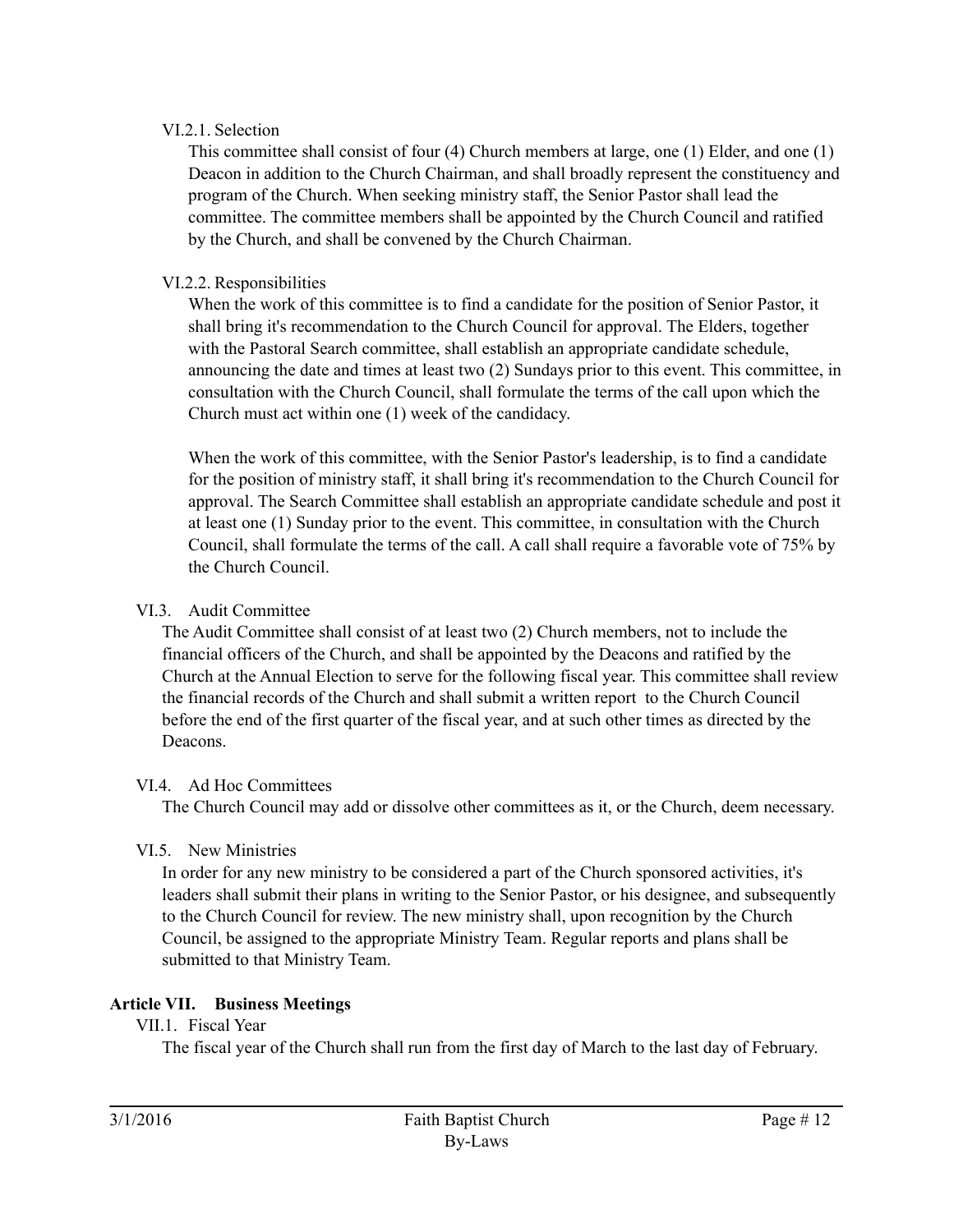## VI.2.1. Selection

This committee shall consist of four (4) Church members at large, one (1) Elder, and one (1) Deacon in addition to the Church Chairman, and shall broadly represent the constituency and program of the Church. When seeking ministry staff, the Senior Pastor shall lead the committee. The committee members shall be appointed by the Church Council and ratified by the Church, and shall be convened by the Church Chairman.

## VI.2.2. Responsibilities

When the work of this committee is to find a candidate for the position of Senior Pastor, it shall bring it's recommendation to the Church Council for approval. The Elders, together with the Pastoral Search committee, shall establish an appropriate candidate schedule, announcing the date and times at least two (2) Sundays prior to this event. This committee, in consultation with the Church Council, shall formulate the terms of the call upon which the Church must act within one (1) week of the candidacy.

When the work of this committee, with the Senior Pastor's leadership, is to find a candidate for the position of ministry staff, it shall bring it's recommendation to the Church Council for approval. The Search Committee shall establish an appropriate candidate schedule and post it at least one (1) Sunday prior to the event. This committee, in consultation with the Church Council, shall formulate the terms of the call. A call shall require a favorable vote of 75% by the Church Council.

## VI.3. Audit Committee

The Audit Committee shall consist of at least two (2) Church members, not to include the financial officers of the Church, and shall be appointed by the Deacons and ratified by the Church at the Annual Election to serve for the following fiscal year. This committee shall review the financial records of the Church and shall submit a written report to the Church Council before the end of the first quarter of the fiscal year, and at such other times as directed by the Deacons.

#### VI.4. Ad Hoc Committees

The Church Council may add or dissolve other committees as it, or the Church, deem necessary.

# VI.5. New Ministries

In order for any new ministry to be considered a part of the Church sponsored activities, it's leaders shall submit their plans in writing to the Senior Pastor, or his designee, and subsequently to the Church Council for review. The new ministry shall, upon recognition by the Church Council, be assigned to the appropriate Ministry Team. Regular reports and plans shall be submitted to that Ministry Team.

# **Article VII. Business Meetings**

## VII.1. Fiscal Year

The fiscal year of the Church shall run from the first day of March to the last day of February.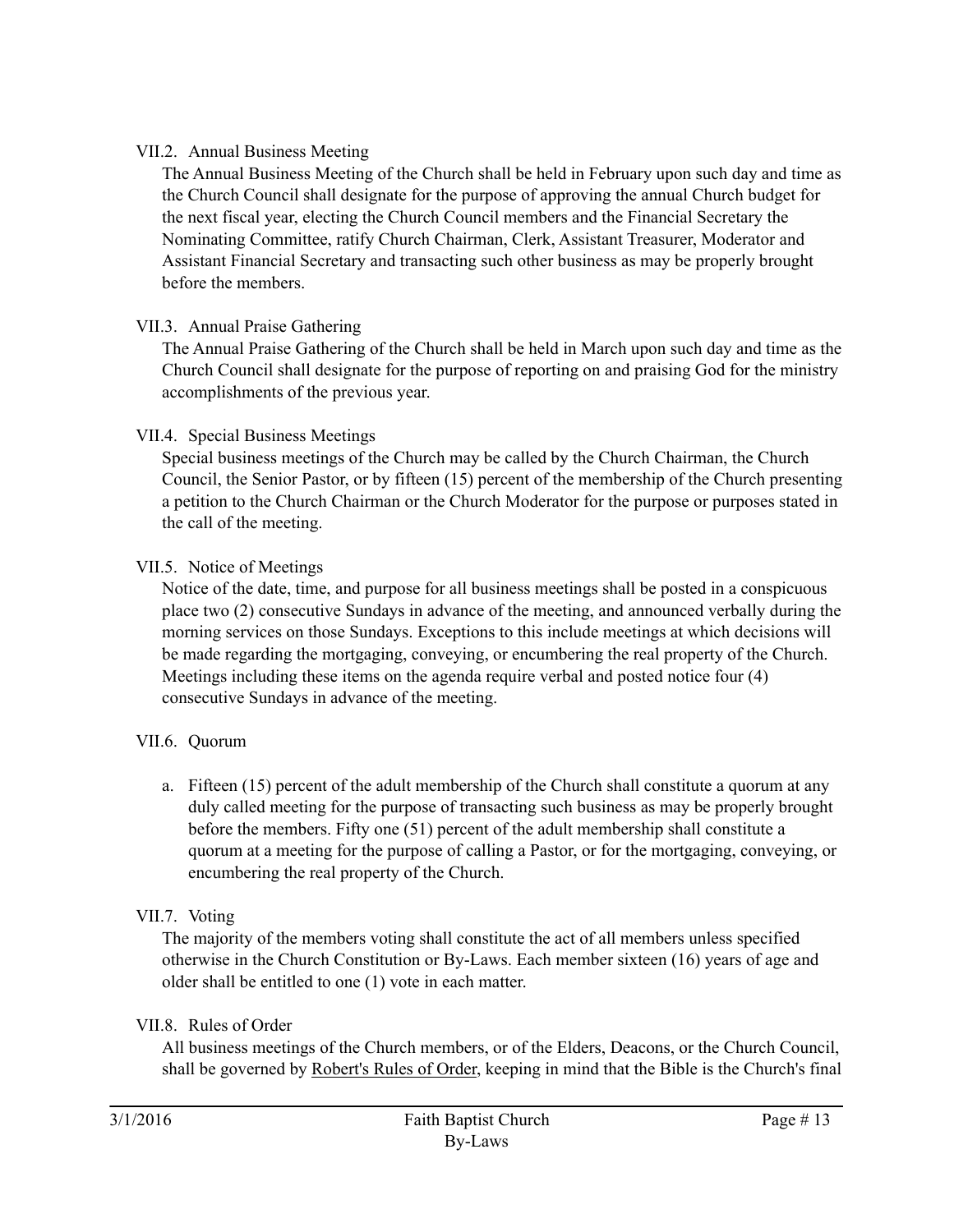## VII.2. Annual Business Meeting

The Annual Business Meeting of the Church shall be held in February upon such day and time as the Church Council shall designate for the purpose of approving the annual Church budget for the next fiscal year, electing the Church Council members and the Financial Secretary the Nominating Committee, ratify Church Chairman, Clerk, Assistant Treasurer, Moderator and Assistant Financial Secretary and transacting such other business as may be properly brought before the members.

# VII.3. Annual Praise Gathering

The Annual Praise Gathering of the Church shall be held in March upon such day and time as the Church Council shall designate for the purpose of reporting on and praising God for the ministry accomplishments of the previous year.

#### VII.4. Special Business Meetings

Special business meetings of the Church may be called by the Church Chairman, the Church Council, the Senior Pastor, or by fifteen (15) percent of the membership of the Church presenting a petition to the Church Chairman or the Church Moderator for the purpose or purposes stated in the call of the meeting.

## VII.5. Notice of Meetings

Notice of the date, time, and purpose for all business meetings shall be posted in a conspicuous place two (2) consecutive Sundays in advance of the meeting, and announced verbally during the morning services on those Sundays. Exceptions to this include meetings at which decisions will be made regarding the mortgaging, conveying, or encumbering the real property of the Church. Meetings including these items on the agenda require verbal and posted notice four (4) consecutive Sundays in advance of the meeting.

# VII.6. Quorum

a. Fifteen (15) percent of the adult membership of the Church shall constitute a quorum at any duly called meeting for the purpose of transacting such business as may be properly brought before the members. Fifty one (51) percent of the adult membership shall constitute a quorum at a meeting for the purpose of calling a Pastor, or for the mortgaging, conveying, or encumbering the real property of the Church.

#### VII.7. Voting

The majority of the members voting shall constitute the act of all members unless specified otherwise in the Church Constitution or By-Laws. Each member sixteen (16) years of age and older shall be entitled to one (1) vote in each matter.

#### VII.8. Rules of Order

All business meetings of the Church members, or of the Elders, Deacons, or the Church Council, shall be governed by Robert's Rules of Order, keeping in mind that the Bible is the Church's final